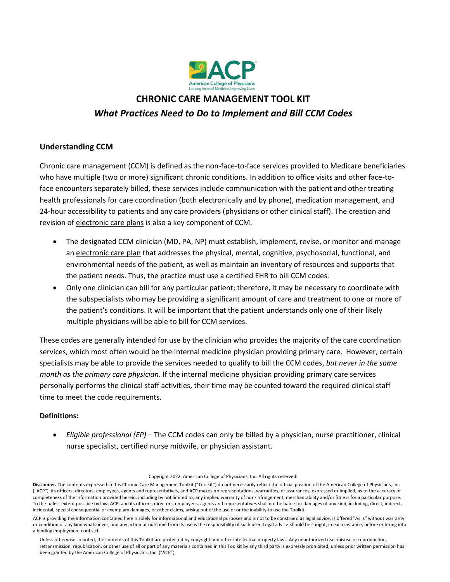

# **CHRONIC CARE MANAGEMENT TOOL KIT** *What Practices Need to Do to Implement and Bill CCM Codes*

# **Understanding CCM**

Chronic care management (CCM) is defined as the non-face-to-face services provided to Medicare beneficiaries who have multiple (two or more) significant chronic conditions. In addition to office visits and other face-toface encounters separately billed, these services include communication with the patient and other treating health professionals for care coordination (both electronically and by phone), medication management, and 24-hour accessibility to patients and any care providers (physicians or other clinical staff). The creation and revision of electronic care plans is also a key component of CCM.

- The designated CCM clinician (MD, PA, NP) must establish, implement, revise, or monitor and manage an electronic care plan that addresses the physical, mental, cognitive, psychosocial, functional, and environmental needs of the patient, as well as maintain an inventory of resources and supports that the patient needs. Thus, the practice must use a certified EHR to bill CCM codes.
- Only one clinician can bill for any particular patient; therefore, it may be necessary to coordinate with the subspecialists who may be providing a significant amount of care and treatment to one or more of the patient's conditions. It will be important that the patient understands only one of their likely multiple physicians will be able to bill for CCM services.

These codes are generally intended for use by the clinician who provides the majority of the care coordination services, which most often would be the internal medicine physician providing primary care. However, certain specialists may be able to provide the services needed to qualify to bill the CCM codes, *but never in the same month as the primary care physician*. If the internal medicine physician providing primary care services personally performs the clinical staff activities, their time may be counted toward the required clinical staff time to meet the code requirements.

# **Definitions:**

• *Eligible professional (EP)* – The CCM codes can only be billed by a physician, nurse practitioner, clinical nurse specialist, certified nurse midwife, or physician assistant.

Copyright 2022. American College of Physicians, Inc. All rights reserved.

Disclaimer. The contents expressed in this Chronic Care Management Toolkit ("Toolkit") do not necessarily reflect the official position of the American College of Physicians, Inc. ("ACP"), its officers, directors, employees, agents and representatives, and ACP makes no representations, warranties, or assurances, expressed or implied, as to the accuracy or completeness of the information provided herein, including by not limited to; any implied warranty of non-infringement, merchantability and/or fitness for a particular purpose. To the fullest extent possible by law, ACP, and its officers, directors, employees, agents and representatives shall not be liable for damages of any kind, including, direct, indirect, incidental, special consequential or exemplary damages, or other claims, arising out of the use of or the inability to use the Toolkit.

ACP is providing the information contained herein solely for informational and educational purposes and is not to be construed as legal advice, is offered "As Is" without warranty or condition of any kind whatsoever, and any action or outcome from its use is the responsibility of such user. Legal advice should be sought, in each instance, before entering into a binding employment contract.

Unless otherwise so noted, the contents of this Toolkit are protected by copyright and other intellectual property laws. Any unauthorized use, misuse or reproduction, retransmission, republication, or other use of all or part of any materials contained in this Toolkit by any third party is expressly prohibited, unless prior written permission has been granted by the American College of Physicians, Inc. ("ACP").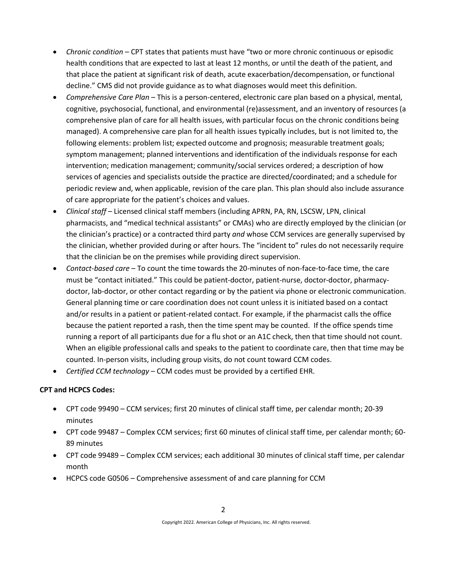- *Chronic condition* CPT states that patients must have "two or more chronic continuous or episodic health conditions that are expected to last at least 12 months, or until the death of the patient, and that place the patient at significant risk of death, acute exacerbation/decompensation, or functional decline." CMS did not provide guidance as to what diagnoses would meet this definition.
- *Comprehensive Care Plan* This is a person-centered, electronic care plan based on a physical, mental, cognitive, psychosocial, functional, and environmental (re)assessment, and an inventory of resources (a comprehensive plan of care for all health issues, with particular focus on the chronic conditions being managed). A comprehensive care plan for all health issues typically includes, but is not limited to, the following elements: problem list; expected outcome and prognosis; measurable treatment goals; symptom management; planned interventions and identification of the individuals response for each intervention; medication management; community/social services ordered; a description of how services of agencies and specialists outside the practice are directed/coordinated; and a schedule for periodic review and, when applicable, revision of the care plan. This plan should also include assurance of care appropriate for the patient's choices and values.
- *Clinical staff*  Licensed clinical staff members (including APRN, PA, RN, LSCSW, LPN, clinical pharmacists, and "medical technical assistants" or CMAs) who are directly employed by the clinician (or the clinician's practice) or a contracted third party *and* whose CCM services are generally supervised by the clinician, whether provided during or after hours. The "incident to" rules do not necessarily require that the clinician be on the premises while providing direct supervision.
- *Contact-based care*  To count the time towards the 20-minutes of non-face-to-face time, the care must be "contact initiated." This could be patient-doctor, patient-nurse, doctor-doctor, pharmacydoctor, lab-doctor, or other contact regarding or by the patient via phone or electronic communication. General planning time or care coordination does not count unless it is initiated based on a contact and/or results in a patient or patient-related contact. For example, if the pharmacist calls the office because the patient reported a rash, then the time spent may be counted. If the office spends time running a report of all participants due for a flu shot or an A1C check, then that time should not count. When an eligible professional calls and speaks to the patient to coordinate care, then that time may be counted. In-person visits, including group visits, do not count toward CCM codes.
- *Certified CCM technology*  CCM codes must be provided by a certified EHR.

## **CPT and HCPCS Codes:**

- CPT code 99490 CCM services; first 20 minutes of clinical staff time, per calendar month; 20-39 minutes
- CPT code 99487 Complex CCM services; first 60 minutes of clinical staff time, per calendar month; 60- 89 minutes
- CPT code 99489 Complex CCM services; each additional 30 minutes of clinical staff time, per calendar month
- HCPCS code G0506 Comprehensive assessment of and care planning for CCM

Copyright 2022. American College of Physicians, Inc. All rights reserved.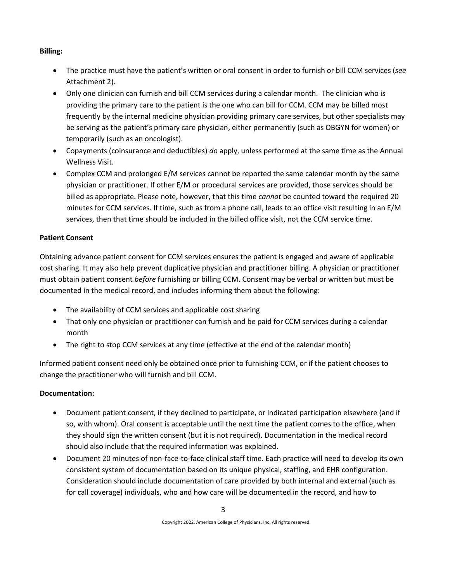## **Billing:**

- The practice must have the patient's written or oral consent in order to furnish or bill CCM services (*see* Attachment 2).
- Only one clinician can furnish and bill CCM services during a calendar month. The clinician who is providing the primary care to the patient is the one who can bill for CCM. CCM may be billed most frequently by the internal medicine physician providing primary care services, but other specialists may be serving as the patient's primary care physician, either permanently (such as OBGYN for women) or temporarily (such as an oncologist).
- Copayments (coinsurance and deductibles) *do* apply, unless performed at the same time as the Annual Wellness Visit.
- Complex CCM and prolonged E/M services cannot be reported the same calendar month by the same physician or practitioner. If other E/M or procedural services are provided, those services should be billed as appropriate. Please note, however, that this time *cannot* be counted toward the required 20 minutes for CCM services. If time, such as from a phone call, leads to an office visit resulting in an E/M services, then that time should be included in the billed office visit, not the CCM service time.

# **Patient Consent**

Obtaining advance patient consent for CCM services ensures the patient is engaged and aware of applicable cost sharing. It may also help prevent duplicative physician and practitioner billing. A physician or practitioner must obtain patient consent *before* furnishing or billing CCM. Consent may be verbal or written but must be documented in the medical record, and includes informing them about the following:

- The availability of CCM services and applicable cost sharing
- That only one physician or practitioner can furnish and be paid for CCM services during a calendar month
- The right to stop CCM services at any time (effective at the end of the calendar month)

Informed patient consent need only be obtained once prior to furnishing CCM, or if the patient chooses to change the practitioner who will furnish and bill CCM.

# **Documentation:**

- Document patient consent, if they declined to participate, or indicated participation elsewhere (and if so, with whom). Oral consent is acceptable until the next time the patient comes to the office, when they should sign the written consent (but it is not required). Documentation in the medical record should also include that the required information was explained.
- Document 20 minutes of non-face-to-face clinical staff time. Each practice will need to develop its own consistent system of documentation based on its unique physical, staffing, and EHR configuration. Consideration should include documentation of care provided by both internal and external (such as for call coverage) individuals, who and how care will be documented in the record, and how to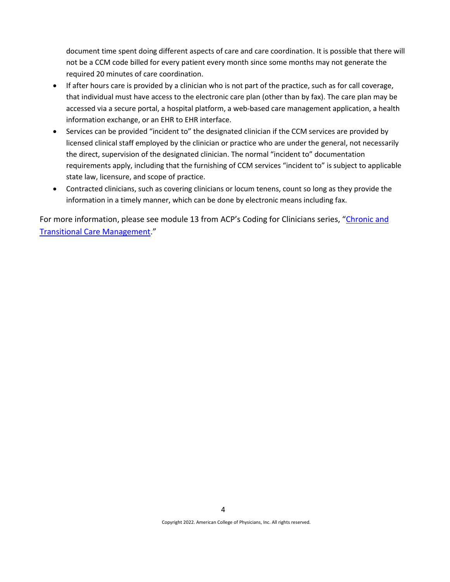document time spent doing different aspects of care and care coordination. It is possible that there will not be a CCM code billed for every patient every month since some months may not generate the required 20 minutes of care coordination.

- If after hours care is provided by a clinician who is not part of the practice, such as for call coverage, that individual must have access to the electronic care plan (other than by fax). The care plan may be accessed via a secure portal, a hospital platform, a web-based care management application, a health information exchange, or an EHR to EHR interface.
- Services can be provided "incident to" the designated clinician if the CCM services are provided by licensed clinical staff employed by the clinician or practice who are under the general, not necessarily the direct, supervision of the designated clinician. The normal "incident to" documentation requirements apply, including that the furnishing of CCM services "incident to" is subject to applicable state law, licensure, and scope of practice.
- Contracted clinicians, such as covering clinicians or locum tenens, count so long as they provide the information in a timely manner, which can be done by electronic means including fax.

For more information, please see module 13 from ACP's Coding for Clinicians series, "[Chronic and](https://assets.acponline.org/coding-for-clinicians/module13/)  [Transitional Care Management.](https://assets.acponline.org/coding-for-clinicians/module13/)"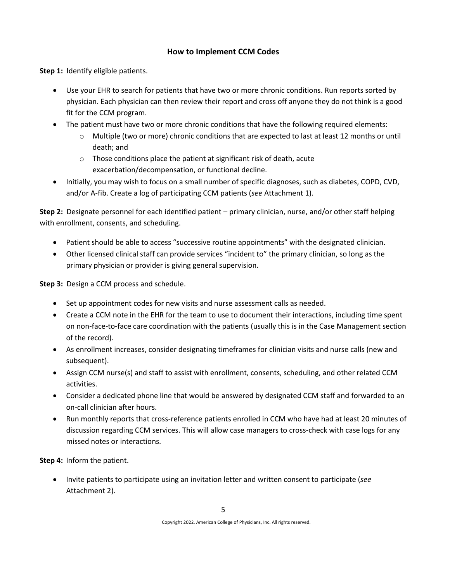# **How to Implement CCM Codes**

**Step 1:** Identify eligible patients.

- Use your EHR to search for patients that have two or more chronic conditions. Run reports sorted by physician. Each physician can then review their report and cross off anyone they do not think is a good fit for the CCM program.
- The patient must have two or more chronic conditions that have the following required elements:
	- o Multiple (two or more) chronic conditions that are expected to last at least 12 months or until death; and
	- o Those conditions place the patient at significant risk of death, acute exacerbation/decompensation, or functional decline.
- Initially, you may wish to focus on a small number of specific diagnoses, such as diabetes, COPD, CVD, and/or A-fib. Create a log of participating CCM patients (*see* Attachment 1).

**Step 2:** Designate personnel for each identified patient – primary clinician, nurse, and/or other staff helping with enrollment, consents, and scheduling.

- Patient should be able to access "successive routine appointments" with the designated clinician.
- Other licensed clinical staff can provide services "incident to" the primary clinician, so long as the primary physician or provider is giving general supervision.

**Step 3:** Design a CCM process and schedule.

- Set up appointment codes for new visits and nurse assessment calls as needed.
- Create a CCM note in the EHR for the team to use to document their interactions, including time spent on non-face-to-face care coordination with the patients (usually this is in the Case Management section of the record).
- As enrollment increases, consider designating timeframes for clinician visits and nurse calls (new and subsequent).
- Assign CCM nurse(s) and staff to assist with enrollment, consents, scheduling, and other related CCM activities.
- Consider a dedicated phone line that would be answered by designated CCM staff and forwarded to an on-call clinician after hours.
- Run monthly reports that cross-reference patients enrolled in CCM who have had at least 20 minutes of discussion regarding CCM services. This will allow case managers to cross-check with case logs for any missed notes or interactions.

**Step 4:** Inform the patient.

• Invite patients to participate using an invitation letter and written consent to participate (*see*  Attachment 2).

Copyright 2022. American College of Physicians, Inc. All rights reserved.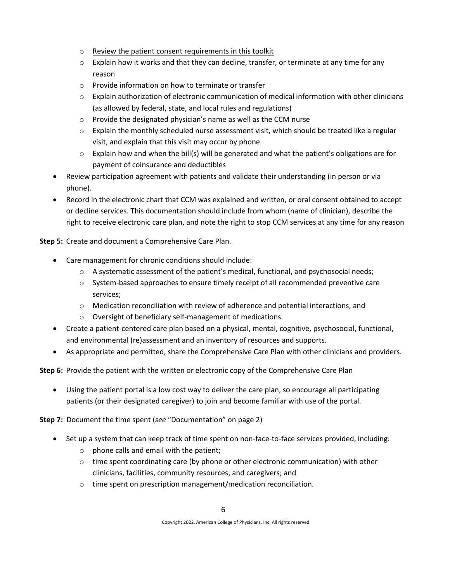- o Review the patient consent requirements in this toolkit
- $\circ$  Explain how it works and that they can decline, transfer, or terminate at any time for any reason
- o Provide information on how to terminate or transfer
- $\circ$  Explain authorization of electronic communication of medical information with other clinicians (as allowed by federal, state, and local rules and regulations)
- o Provide the designated physician's name as well as the CCM nurse
- $\circ$  Explain the monthly scheduled nurse assessment visit, which should be treated like a regular visit, and explain that this visit may occur by phone
- $\circ$  Explain how and when the bill(s) will be generated and what the patient's obligations are for payment of coinsurance and deductibles
- Review participation agreement with patients and validate their understanding (in person or via phone).
- Record in the electronic chart that CCM was explained and written, or oral consent obtained to accept or decline services. This documentation should include from whom (name of clinician), describe the right to receive electronic care plan, and note the right to stop CCM services at any time for any reason

**Step 5:** Create and document a Comprehensive Care Plan.

- Care management for chronic conditions should include:
	- $\circ$  A systematic assessment of the patient's medical, functional, and psychosocial needs;
	- $\circ$  System-based approaches to ensure timely receipt of all recommended preventive care services;
	- $\circ$  Medication reconciliation with review of adherence and potential interactions; and
	- o Oversight of beneficiary self-management of medications.
- Create a patient-centered care plan based on a physical, mental, cognitive, psychosocial, functional, and environmental (re)assessment and an inventory of resources and supports.
- As appropriate and permitted, share the Comprehensive Care Plan with other clinicians and providers.

**Step 6:** Provide the patient with the written or electronic copy of the Comprehensive Care Plan

• Using the patient portal is a low cost way to deliver the care plan, so encourage all participating patients (or their designated caregiver) to join and become familiar with use of the portal.

**Step 7:** Document the time spent (*see* "Documentation" on page 2)

- Set up a system that can keep track of time spent on non-face-to-face services provided, including:
	- o phone calls and email with the patient;
	- $\circ$  time spent coordinating care (by phone or other electronic communication) with other clinicians, facilities, community resources, and caregivers; and
	- o time spent on prescription management/medication reconciliation.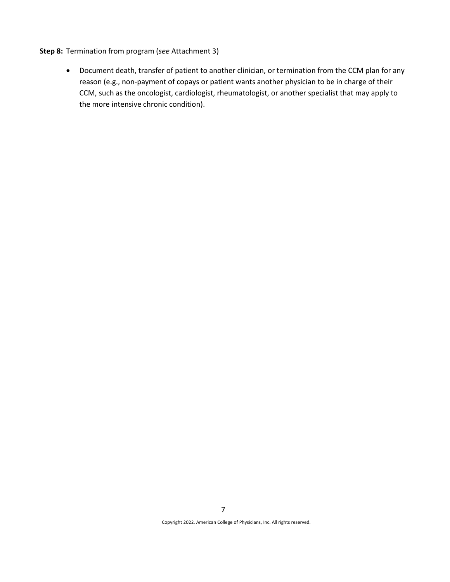#### **Step 8:** Termination from program (*see* Attachment 3)

• Document death, transfer of patient to another clinician, or termination from the CCM plan for any reason (e.g., non-payment of copays or patient wants another physician to be in charge of their CCM, such as the oncologist, cardiologist, rheumatologist, or another specialist that may apply to the more intensive chronic condition).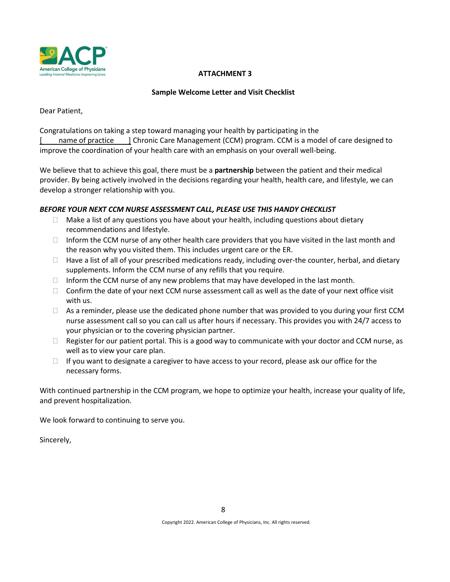

## **ATTACHMENT 3**

### **Sample Welcome Letter and Visit Checklist**

Dear Patient,

Congratulations on taking a step toward managing your health by participating in the [ name of practice ] Chronic Care Management (CCM) program. CCM is a model of care designed to improve the coordination of your health care with an emphasis on your overall well-being.

We believe that to achieve this goal, there must be a **partnership** between the patient and their medical provider. By being actively involved in the decisions regarding your health, health care, and lifestyle, we can develop a stronger relationship with you.

## *BEFORE YOUR NEXT CCM NURSE ASSESSMENT CALL, PLEASE USE THIS HANDY CHECKLIST*

- $\Box$  Make a list of any questions you have about your health, including questions about dietary recommendations and lifestyle.
- $\Box$  Inform the CCM nurse of any other health care providers that you have visited in the last month and the reason why you visited them. This includes urgent care or the ER.
- $\Box$  Have a list of all of your prescribed medications ready, including over-the counter, herbal, and dietary supplements. Inform the CCM nurse of any refills that you require.
- $\Box$  Inform the CCM nurse of any new problems that may have developed in the last month.
- $\Box$  Confirm the date of your next CCM nurse assessment call as well as the date of your next office visit with us.
- $\Box$  As a reminder, please use the dedicated phone number that was provided to you during your first CCM nurse assessment call so you can call us after hours if necessary. This provides you with 24/7 access to your physician or to the covering physician partner.
- $\Box$  Register for our patient portal. This is a good way to communicate with your doctor and CCM nurse, as well as to view your care plan.
- $\Box$  If you want to designate a caregiver to have access to your record, please ask our office for the necessary forms.

With continued partnership in the CCM program, we hope to optimize your health, increase your quality of life, and prevent hospitalization.

We look forward to continuing to serve you.

Sincerely,